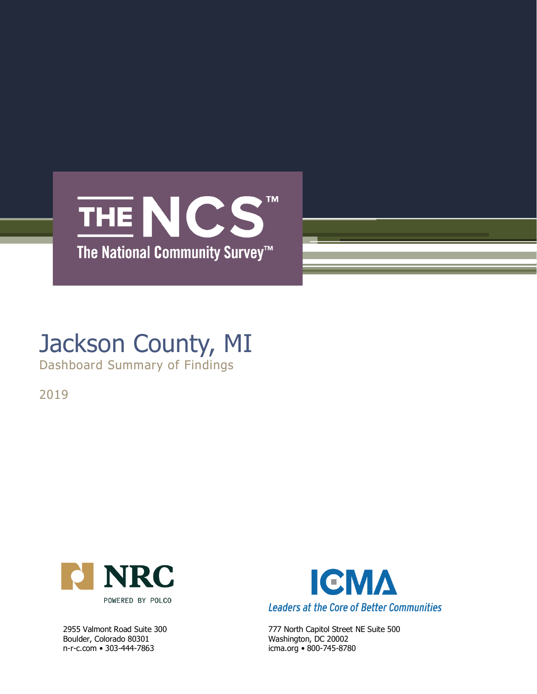

## Jackson County, MI

Dashboard Summary of Findings

2019



Boulder, Colorado 80301 Washington, DC 20002 n-r-c.com • 303-444-7863 icma.org • 800-745-8780



2955 Valmont Road Suite 300 777 North Capitol Street NE Suite 500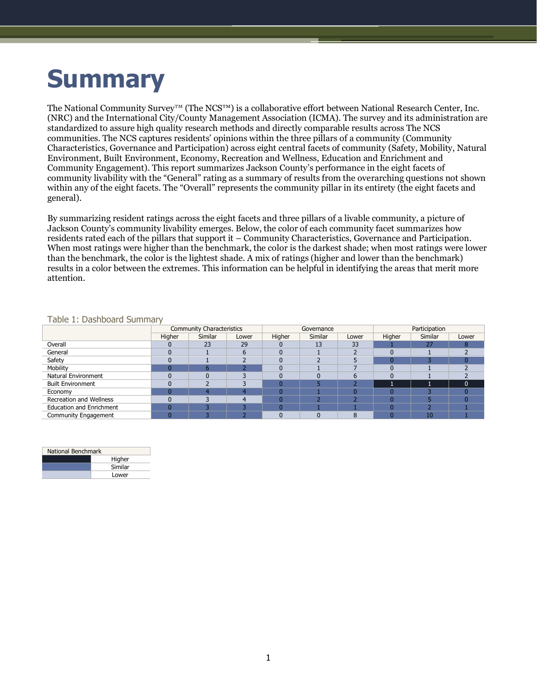# **Summary**

The National Community Survey™ (The NCS™) is a collaborative effort between National Research Center, Inc. (NRC) and the International City/County Management Association (ICMA). The survey and its administration are standardized to assure high quality research methods and directly comparable results across The NCS communities. The NCS captures residents' opinions within the three pillars of a community (Community Characteristics, Governance and Participation) across eight central facets of community (Safety, Mobility, Natural Environment, Built Environment, Economy, Recreation and Wellness, Education and Enrichment and Community Engagement). This report summarizes Jackson County's performance in the eight facets of community livability with the "General" rating as a summary of results from the overarching questions not shown within any of the eight facets. The "Overall" represents the community pillar in its entirety (the eight facets and general).

By summarizing resident ratings across the eight facets and three pillars of a livable community, a picture of Jackson County's community livability emerges. Below, the color of each community facet summarizes how residents rated each of the pillars that support it – Community Characteristics, Governance and Participation. When most ratings were higher than the benchmark, the color is the darkest shade; when most ratings were lower than the benchmark, the color is the lightest shade. A mix of ratings (higher and lower than the benchmark) results in a color between the extremes. This information can be helpful in identifying the areas that merit more attention.

|                                 |        | <b>Community Characteristics</b> |       |        | Governance |       | Participation |         |          |  |
|---------------------------------|--------|----------------------------------|-------|--------|------------|-------|---------------|---------|----------|--|
|                                 | Higher | Similar                          | Lower | Higher | Similar    | Lower | Higher        | Similar | Lower    |  |
| Overall                         |        | 23                               | 29    |        | 13         | 33    |               | 27      |          |  |
| General                         |        |                                  |       |        |            |       |               |         |          |  |
| Safety                          |        |                                  |       |        |            |       |               |         |          |  |
| Mobility                        |        |                                  |       |        |            |       |               |         |          |  |
| <b>Natural Environment</b>      |        |                                  |       |        |            |       |               |         |          |  |
| <b>Built Environment</b>        |        |                                  |       |        |            |       |               |         | $\Omega$ |  |
| Economy                         |        |                                  |       |        |            |       |               |         |          |  |
| <b>Recreation and Wellness</b>  |        |                                  |       |        |            |       |               |         |          |  |
| <b>Education and Enrichment</b> |        |                                  |       |        |            |       |               |         |          |  |
| <b>Community Engagement</b>     |        |                                  |       |        |            |       |               | 10      |          |  |

### Table 1: Dashboard Summary

| National Benchmark |         |  |  |  |  |  |
|--------------------|---------|--|--|--|--|--|
|                    | Higher  |  |  |  |  |  |
|                    | Similar |  |  |  |  |  |
|                    | Lower   |  |  |  |  |  |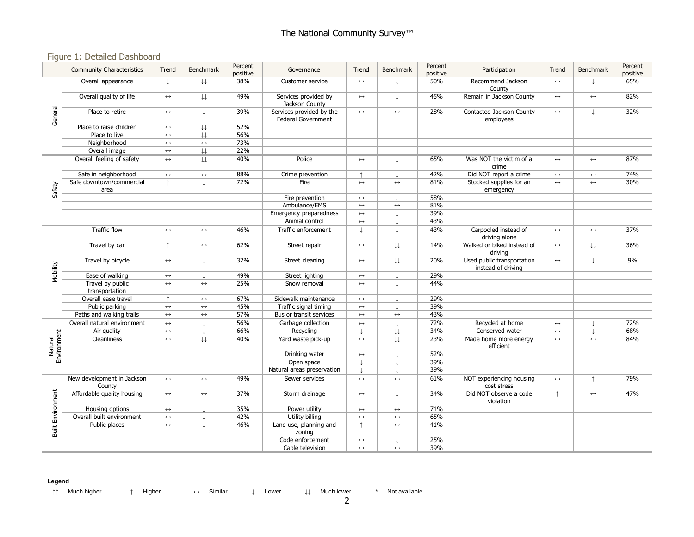### Figure 1: Detailed Dashboard

|                          | <b>Community Characteristics</b>     | Trend                 | <b>Benchmark</b>        | Percent<br>positive | Governance                                     | Trend                 | <b>Benchmark</b>         | Percent<br>positive | Participation                                    | Trend                 | Benchmark              | Percent<br>positive |
|--------------------------|--------------------------------------|-----------------------|-------------------------|---------------------|------------------------------------------------|-----------------------|--------------------------|---------------------|--------------------------------------------------|-----------------------|------------------------|---------------------|
| General                  | Overall appearance                   | $\perp$               | $\downarrow \downarrow$ | 38%                 | Customer service                               | $\leftrightarrow$     | T                        | 50%                 | Recommend Jackson<br>County                      | $\leftrightarrow$     | T                      | 65%                 |
|                          | Overall quality of life              | $\leftrightarrow$     | IJ                      | 49%                 | Services provided by<br>Jackson County         | $\longleftrightarrow$ | T                        | 45%                 | Remain in Jackson County                         | $\leftrightarrow$     | $\leftrightarrow$      | 82%                 |
|                          | Place to retire                      | $\leftrightarrow$     | $\perp$                 | 39%                 | Services provided by the<br>Federal Government | $\leftrightarrow$     | $\leftrightarrow$        | 28%                 | Contacted Jackson County<br>employees            | $\leftrightarrow$     | $\perp$                | 32%                 |
|                          | Place to raise children              | $\longleftrightarrow$ | $\downarrow \downarrow$ | 52%                 |                                                |                       |                          |                     |                                                  |                       |                        |                     |
|                          | Place to live                        | $\leftrightarrow$     | $\perp$                 | 56%                 |                                                |                       |                          |                     |                                                  |                       |                        |                     |
|                          | Neighborhood                         | $\leftrightarrow$     | $\longleftrightarrow$   | 73%                 |                                                |                       |                          |                     |                                                  |                       |                        |                     |
|                          | Overall image                        | $\leftrightarrow$     | $\downarrow \downarrow$ | 22%                 |                                                |                       |                          |                     |                                                  |                       |                        |                     |
|                          | Overall feeling of safety            | $\leftrightarrow$     | $\downarrow \downarrow$ | 40%                 | Police                                         | $\leftrightarrow$     | T                        | 65%                 | Was NOT the victim of a<br>crime                 | $\leftrightarrow$     | $\leftrightarrow$      | 87%                 |
|                          | Safe in neighborhood                 | $\leftrightarrow$     | $\longleftrightarrow$   | 88%                 | Crime prevention                               | $\uparrow$            |                          | 42%                 | Did NOT report a crime                           | $\leftrightarrow$     | $\leftrightarrow$      | 74%                 |
| Safety                   | Safe downtown/commercial<br>area     | $\uparrow$            | $\perp$                 | 72%                 | Fire                                           | $\leftrightarrow$     | $\leftrightarrow$        | 81%                 | Stocked supplies for an<br>emergency             | $\leftrightarrow$     | $\leftrightarrow$      | 30%                 |
|                          |                                      |                       |                         |                     | Fire prevention                                | $\longleftrightarrow$ |                          | 58%                 |                                                  |                       |                        |                     |
|                          |                                      |                       |                         |                     | Ambulance/EMS                                  | $\leftrightarrow$     | $\leftrightarrow$        | 81%                 |                                                  |                       |                        |                     |
|                          |                                      |                       |                         |                     | Emergency preparedness                         | $\leftrightarrow$     |                          | 39%                 |                                                  |                       |                        |                     |
|                          |                                      |                       |                         |                     | Animal control                                 | $\leftrightarrow$     | $\overline{\phantom{a}}$ | 43%                 |                                                  |                       |                        |                     |
|                          | <b>Traffic flow</b>                  | $\leftrightarrow$     | $\longleftrightarrow$   | 46%                 | Traffic enforcement                            | $\perp$               | T                        | 43%                 | Carpooled instead of<br>driving alone            | $\longleftrightarrow$ | $\longleftrightarrow$  | 37%                 |
|                          | Travel by car                        | $\uparrow$            | $\leftrightarrow$       | 62%                 | Street repair                                  | $\longleftrightarrow$ | $\downarrow \downarrow$  | 14%                 | Walked or biked instead of<br>driving            | $\leftrightarrow$     | $\downarrow\downarrow$ | 36%                 |
| Mobility                 | Travel by bicycle                    | $\longleftrightarrow$ | T                       | 32%                 | Street cleaning                                | $\longleftrightarrow$ | $\downarrow\downarrow$   | 20%                 | Used public transportation<br>instead of driving | $\leftrightarrow$     | J                      | 9%                  |
|                          | Ease of walking                      | $\leftrightarrow$     |                         | 49%                 | Street lighting                                | $\longleftrightarrow$ |                          | 29%                 |                                                  |                       |                        |                     |
|                          | Travel by public<br>transportation   | $\longleftrightarrow$ | $\leftrightarrow$       | 25%                 | Snow removal                                   | $\leftrightarrow$     |                          | 44%                 |                                                  |                       |                        |                     |
|                          | Overall ease travel                  | $\uparrow$            | $\longleftrightarrow$   | 67%                 | Sidewalk maintenance                           | $\longleftrightarrow$ |                          | 29%                 |                                                  |                       |                        |                     |
|                          | Public parking                       | $\longleftrightarrow$ | $\longleftrightarrow$   | 45%                 | Traffic signal timing                          | $\longleftrightarrow$ |                          | 39%                 |                                                  |                       |                        |                     |
|                          | Paths and walking trails             | $\leftrightarrow$     | $\leftrightarrow$       | 57%                 | Bus or transit services                        | $\leftrightarrow$     | $\leftrightarrow$        | 43%                 |                                                  |                       |                        |                     |
|                          | Overall natural environment          | $\leftrightarrow$     |                         | 56%                 | Garbage collection                             | $\longleftrightarrow$ |                          | 72%                 | Recycled at home                                 | $\leftrightarrow$     |                        | 72%                 |
|                          | Air quality                          | $\leftrightarrow$     |                         | 66%                 | Recycling                                      | $\mathbf{I}$          | $\downarrow\downarrow$   | 34%                 | Conserved water                                  | $\leftrightarrow$     | ٠                      | 68%                 |
| Environment<br>Natural   | Cleanliness                          | $\leftrightarrow$     | $\downarrow \downarrow$ | 40%                 | Yard waste pick-up                             | $\leftrightarrow$     | IJ                       | 23%                 | Made home more energy<br>efficient               | $\leftrightarrow$     | $\leftrightarrow$      | 84%                 |
|                          |                                      |                       |                         |                     | Drinking water                                 | $\longleftrightarrow$ |                          | 52%                 |                                                  |                       |                        |                     |
|                          |                                      |                       |                         |                     | Open space                                     |                       |                          | 39%                 |                                                  |                       |                        |                     |
|                          |                                      |                       |                         |                     | Natural areas preservation                     |                       |                          | 39%                 |                                                  |                       |                        |                     |
| <b>Built Environment</b> | New development in Jackson<br>County | $\leftrightarrow$     | $\longleftrightarrow$   | 49%                 | Sewer services                                 | $\leftrightarrow$     | $\longleftrightarrow$    | 61%                 | NOT experiencing housing<br>cost stress          | $\leftrightarrow$     | $\uparrow$             | 79%                 |
|                          | Affordable quality housing           | $\leftrightarrow$     | $\longleftrightarrow$   | 37%                 | Storm drainage                                 | $\leftrightarrow$     | T                        | 34%                 | Did NOT observe a code<br>violation              | $\uparrow$            | $\leftrightarrow$      | 47%                 |
|                          | Housing options                      | $\leftrightarrow$     |                         | 35%                 | Power utility                                  | $\longleftrightarrow$ | $\longleftrightarrow$    | 71%                 |                                                  |                       |                        |                     |
|                          | Overall built environment            | $\leftrightarrow$     |                         | 42%                 | Utility billing                                | $\leftrightarrow$     | $\leftrightarrow$        | 65%                 |                                                  |                       |                        |                     |
|                          | Public places                        | $\longleftrightarrow$ | L                       | 46%                 | Land use, planning and<br>zoning               | $\uparrow$            | $\leftrightarrow$        | 41%                 |                                                  |                       |                        |                     |
|                          |                                      |                       |                         |                     | Code enforcement                               | $\longleftrightarrow$ |                          | 25%                 |                                                  |                       |                        |                     |
|                          |                                      |                       |                         |                     | Cable television                               | $\leftrightarrow$     | $\longleftrightarrow$    | 39%                 |                                                  |                       |                        |                     |

#### **Legend**

↑↑ Much higher ↑ Higher ↔ Similar ↓ Lower ↓↓ Much lower \* Not available

2